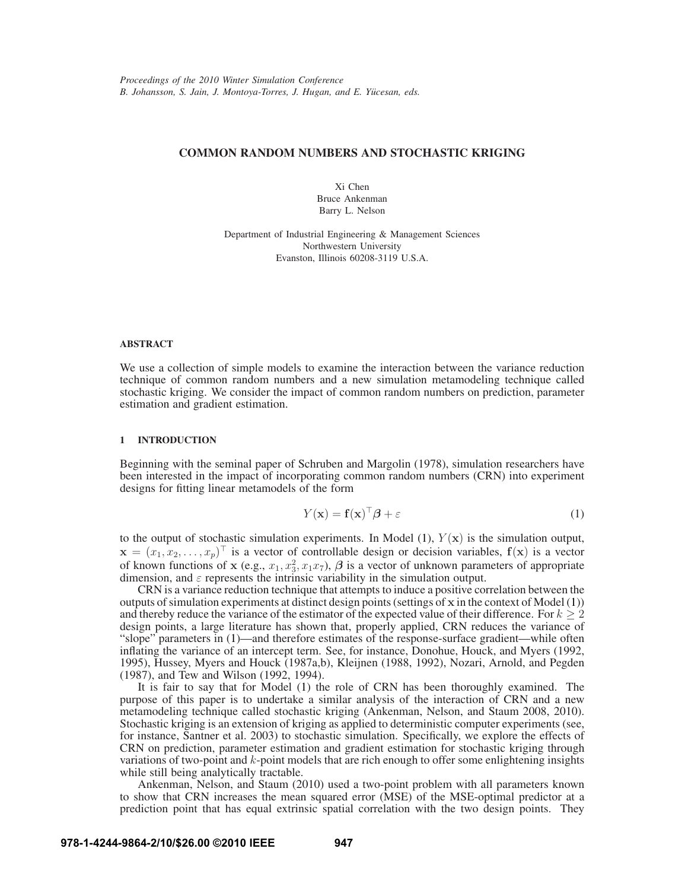# **COMMON RANDOM NUMBERS AND STOCHASTIC KRIGING**

Xi Chen Bruce Ankenman Barry L. Nelson

Department of Industrial Engineering & Management Sciences Northwestern University Evanston, Illinois 60208-3119 U.S.A.

### **ABSTRACT**

We use a collection of simple models to examine the interaction between the variance reduction technique of common random numbers and a new simulation metamodeling technique called stochastic kriging. We consider the impact of common random numbers on prediction, parameter estimation and gradient estimation.

# **1 INTRODUCTION**

Beginning with the seminal paper of Schruben and Margolin (1978), simulation researchers have been interested in the impact of incorporating common random numbers (CRN) into experiment designs for fitting linear metamodels of the form

$$
Y(\mathbf{x}) = \mathbf{f}(\mathbf{x})^\top \boldsymbol{\beta} + \varepsilon \tag{1}
$$

to the output of stochastic simulation experiments. In Model  $(1)$ ,  $Y(x)$  is the simulation output,  $\mathbf{x} = (x_1, x_2, \dots, x_p)^\top$  is a vector of controllable design or decision variables,  $f(\mathbf{x})$  is a vector of known functions of x (e.g.,  $x_1, x_3, x_1x_7$ ),  $\beta$  is a vector of unknown parameters of appropriate dimension, and  $\varepsilon$  represents the intrinsic variability in the simulation output.

CRN is a variance reduction technique that attempts to induce a positive correlation between the outputs of simulation experiments at distinct design points (settings of x in the context of Model  $(1)$ ) and thereby reduce the variance of the estimator of the expected value of their difference. For  $k \geq 2$ design points, a large literature has shown that, properly applied, CRN reduces the variance of "slope" parameters in (1)—and therefore estimates of the response-surface gradient—while often inflating the variance of an intercept term. See, for instance, Donohue, Houck, and Myers (1992, 1995), Hussey, Myers and Houck (1987a,b), Kleijnen (1988, 1992), Nozari, Arnold, and Pegden (1987), and Tew and Wilson (1992, 1994).

It is fair to say that for Model (1) the role of CRN has been thoroughly examined. The purpose of this paper is to undertake a similar analysis of the interaction of CRN and a new metamodeling technique called stochastic kriging (Ankenman, Nelson, and Staum 2008, 2010). Stochastic kriging is an extension of kriging as applied to deterministic computer experiments (see, for instance, Santner et al. 2003) to stochastic simulation. Specifically, we explore the effects of CRN on prediction, parameter estimation and gradient estimation for stochastic kriging through variations of two-point and  $k$ -point models that are rich enough to offer some enlightening insights while still being analytically tractable.

Ankenman, Nelson, and Staum (2010) used a two-point problem with all parameters known to show that CRN increases the mean squared error (MSE) of the MSE-optimal predictor at a prediction point that has equal extrinsic spatial correlation with the two design points. They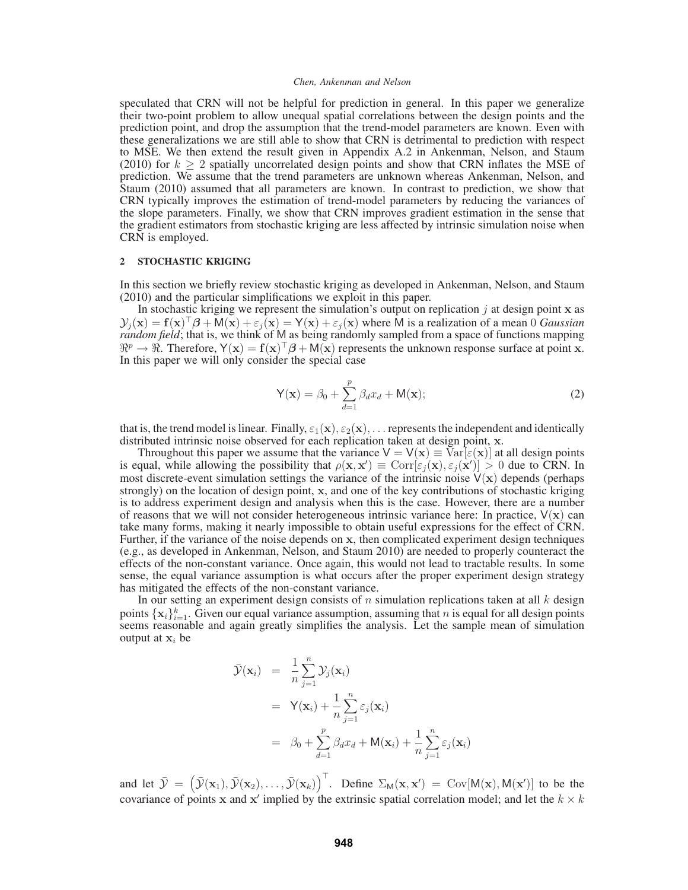speculated that CRN will not be helpful for prediction in general. In this paper we generalize their two-point problem to allow unequal spatial correlations between the design points and the prediction point, and drop the assumption that the trend-model parameters are known. Even with these generalizations we are still able to show that CRN is detrimental to prediction with respect to MSE. We then extend the result given in Appendix A.2 in Ankenman, Nelson, and Staum (2010) for  $k \geq 2$  spatially uncorrelated design points and show that CRN inflates the MSE of prediction. We assume that the trend parameters are unknown whereas Ankenman, Nelson, and Staum (2010) assumed that all parameters are known. In contrast to prediction, we show that CRN typically improves the estimation of trend-model parameters by reducing the variances of the slope parameters. Finally, we show that CRN improves gradient estimation in the sense that the gradient estimators from stochastic kriging are less affected by intrinsic simulation noise when CRN is employed.

## **2 STOCHASTIC KRIGING**

In this section we briefly review stochastic kriging as developed in Ankenman, Nelson, and Staum (2010) and the particular simplifications we exploit in this paper.

In stochastic kriging we represent the simulation's output on replication  $j$  at design point  $x$  as  $\mathcal{Y}_i(\mathbf{x}) = \mathbf{f}(\mathbf{x})^\top \boldsymbol{\beta} + \mathsf{M}(\mathbf{x}) + \varepsilon_i(\mathbf{x}) = \mathsf{Y}(\mathbf{x}) + \varepsilon_i(\mathbf{x})$  where M is a realization of a mean 0 *Gaussian random field*; that is, we think of M as being randomly sampled from a space of functions mapping  $\mathbb{R}^p \to \mathbb{R}$ . Therefore,  $Y(x) = f(x)^\top \beta + M(x)$  represents the unknown response surface at point x. In this paper we will only consider the special case

$$
Y(\mathbf{x}) = \beta_0 + \sum_{d=1}^p \beta_d x_d + M(\mathbf{x});
$$
\n(2)

that is, the trend model is linear. Finally,  $\varepsilon_1(\mathbf{x}), \varepsilon_2(\mathbf{x}), \dots$  represents the independent and identically distributed intrinsic noise observed for each replication taken at design point, x.

Throughout this paper we assume that the variance  $V = V(x) \equiv \overline{V}ar[\epsilon(x)]$  at all design points is equal, while allowing the possibility that  $\rho(\mathbf{x}, \mathbf{x}') \equiv \text{Corr}[\varepsilon_j(\mathbf{x}), \varepsilon_j(\mathbf{x}')] > 0$  due to CRN. In most discrete-event simulation settings the variance of the intrinsic noise  $V(x)$  depends (perhaps strongly) on the location of design point, x, and one of the key contributions of stochastic kriging is to address experiment design and analysis when this is the case. However, there are a number of reasons that we will not consider heterogeneous intrinsic variance here: In practice,  $V(x)$  can take many forms, making it nearly impossible to obtain useful expressions for the effect of CRN. Further, if the variance of the noise depends on x, then complicated experiment design techniques (e.g., as developed in Ankenman, Nelson, and Staum 2010) are needed to properly counteract the effects of the non-constant variance. Once again, this would not lead to tractable results. In some sense, the equal variance assumption is what occurs after the proper experiment design strategy has mitigated the effects of the non-constant variance.

In our setting an experiment design consists of  $n$  simulation replications taken at all  $k$  design points  $\{x_i\}_{i=1}^k$ . Given our equal variance assumption, assuming that *n* is equal for all design points seems reasonable and again greatly simplifies the analysis. Let the sample mean of simulation output at  $x_i$  be

$$
\bar{\mathcal{Y}}(\mathbf{x}_i) = \frac{1}{n} \sum_{j=1}^n \mathcal{Y}_j(\mathbf{x}_i)
$$
  
\n
$$
= \mathsf{Y}(\mathbf{x}_i) + \frac{1}{n} \sum_{j=1}^n \varepsilon_j(\mathbf{x}_i)
$$
  
\n
$$
= \beta_0 + \sum_{d=1}^p \beta_d x_d + \mathsf{M}(\mathbf{x}_i) + \frac{1}{n} \sum_{j=1}^n \varepsilon_j(\mathbf{x}_i)
$$

and let  $\bar{\mathcal{Y}} = (\bar{\mathcal{Y}}(\mathbf{x}_1), \bar{\mathcal{Y}}(\mathbf{x}_2), \dots, \bar{\mathcal{Y}}(\mathbf{x}_k))^{\top}$ . Define  $\Sigma_M(\mathbf{x}, \mathbf{x}') = \text{Cov}[M(\mathbf{x}), M(\mathbf{x}')]$  to be the covariance of points x and x' implied by the extrinsic spatial correlation model; and let the  $k \times k$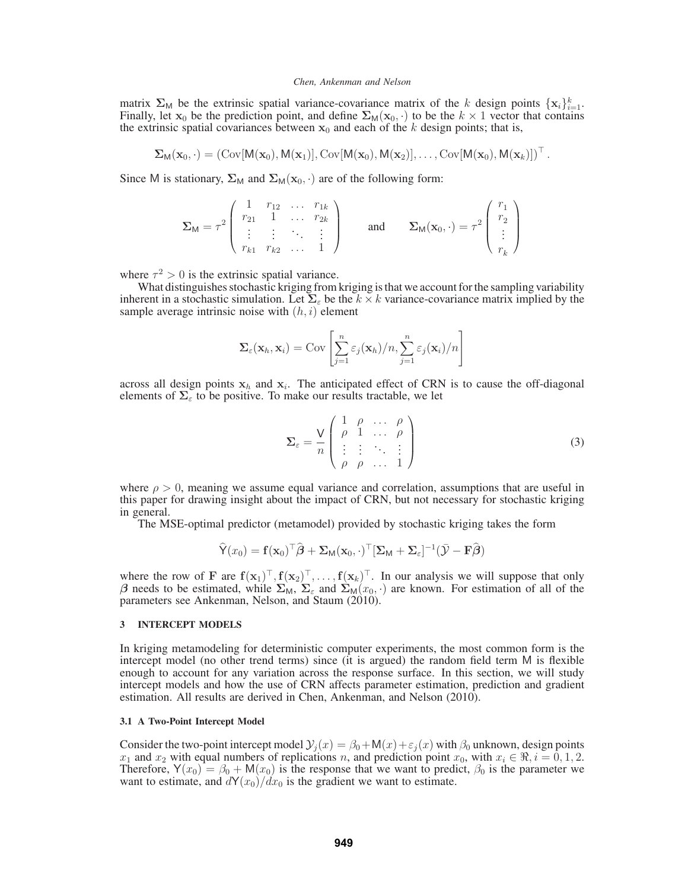matrix  $\Sigma_M$  be the extrinsic spatial variance-covariance matrix of the k design points  $\{x_i\}_{i=1}^k$ . Finally, let  $x_0$  be the prediction point, and define  $\Sigma_M(x_0, \cdot)$  to be the  $k \times 1$  vector that contains the extrinsic spatial covariances between  $x_0$  and each of the k design points; that is,

$$
\Sigma_M(\mathbf{x}_0,\cdot)=\left(\mathrm{Cov}[M(\mathbf{x}_0),M(\mathbf{x}_1)],\mathrm{Cov}[M(\mathbf{x}_0),M(\mathbf{x}_2)],\ldots,\mathrm{Cov}[M(\mathbf{x}_0),M(\mathbf{x}_k)]\right)^\top.
$$

Since M is stationary,  $\Sigma_M$  and  $\Sigma_M(\mathbf{x}_0, \cdot)$  are of the following form:

$$
\Sigma_{\mathsf{M}} = \tau^2 \begin{pmatrix} 1 & r_{12} & \dots & r_{1k} \\ r_{21} & 1 & \dots & r_{2k} \\ \vdots & \vdots & \ddots & \vdots \\ r_{k1} & r_{k2} & \dots & 1 \end{pmatrix} \quad \text{and} \quad \Sigma_{\mathsf{M}}(\mathbf{x}_0, \cdot) = \tau^2 \begin{pmatrix} r_1 \\ r_2 \\ \vdots \\ r_k \end{pmatrix}
$$

where  $\tau^2 > 0$  is the extrinsic spatial variance.

What distinguishes stochastic kriging from kriging is that we account for the sampling variability inherent in a stochastic simulation. Let  $\Sigma_{\varepsilon}$  be the  $k \times k$  variance-covariance matrix implied by the sample average intrinsic noise with  $(h, i)$  element

$$
\Sigma_{\varepsilon}(\mathbf{x}_h, \mathbf{x}_i) = \text{Cov}\left[\sum_{j=1}^n \varepsilon_j(\mathbf{x}_h)/n, \sum_{j=1}^n \varepsilon_j(\mathbf{x}_i)/n\right]
$$

across all design points  $x_h$  and  $x_i$ . The anticipated effect of CRN is to cause the off-diagonal elements of  $\Sigma_{\epsilon}$  to be positive. To make our results tractable, we let

$$
\Sigma_{\varepsilon} = \frac{V}{n} \begin{pmatrix} 1 & \rho & \dots & \rho \\ \rho & 1 & \dots & \rho \\ \vdots & \vdots & \ddots & \vdots \\ \rho & \rho & \dots & 1 \end{pmatrix}
$$
 (3)

where  $\rho > 0$ , meaning we assume equal variance and correlation, assumptions that are useful in this paper for drawing insight about the impact of CRN, but not necessary for stochastic kriging in general.

The MSE-optimal predictor (metamodel) provided by stochastic kriging takes the form

$$
\widehat{\mathsf{Y}}(x_0) = \mathbf{f}(\mathbf{x}_0)^\top \widehat{\boldsymbol{\beta}} + \boldsymbol{\Sigma}_{\mathsf{M}}(\mathbf{x}_0, \cdot)^\top [\boldsymbol{\Sigma}_{\mathsf{M}} + \boldsymbol{\Sigma}_{\varepsilon}]^{-1} (\bar{\mathcal{Y}} - \mathbf{F}\widehat{\boldsymbol{\beta}})
$$

where the row of F are  $f(x_1)^\top, f(x_2)^\top, \ldots, f(x_k)^\top$ . In our analysis we will suppose that only β needs to be estimated, while  $\Sigma_M$ ,  $\Sigma_{\epsilon}$  and  $\Sigma_M(x_0, \cdot)$  are known. For estimation of all of the parameters see Ankenman, Nelson, and Staum (2010).

# **3 INTERCEPT MODELS**

In kriging metamodeling for deterministic computer experiments, the most common form is the intercept model (no other trend terms) since (it is argued) the random field term M is flexible enough to account for any variation across the response surface. In this section, we will study intercept models and how the use of CRN affects parameter estimation, prediction and gradient estimation. All results are derived in Chen, Ankenman, and Nelson (2010).

# **3.1 A Two-Point Intercept Model**

Consider the two-point intercept model  $\mathcal{Y}_i(x) = \beta_0 + M(x) + \varepsilon_i(x)$  with  $\beta_0$  unknown, design points  $x_1$  and  $x_2$  with equal numbers of replications n, and prediction point  $x_0$ , with  $x_i \in \mathcal{R}, i = 0, 1, 2$ . Therefore,  $Y(x_0) = \beta_0 + M(x_0)$  is the response that we want to predict,  $\beta_0$  is the parameter we want to estimate, and  $dY(x_0)/dx_0$  is the gradient we want to estimate.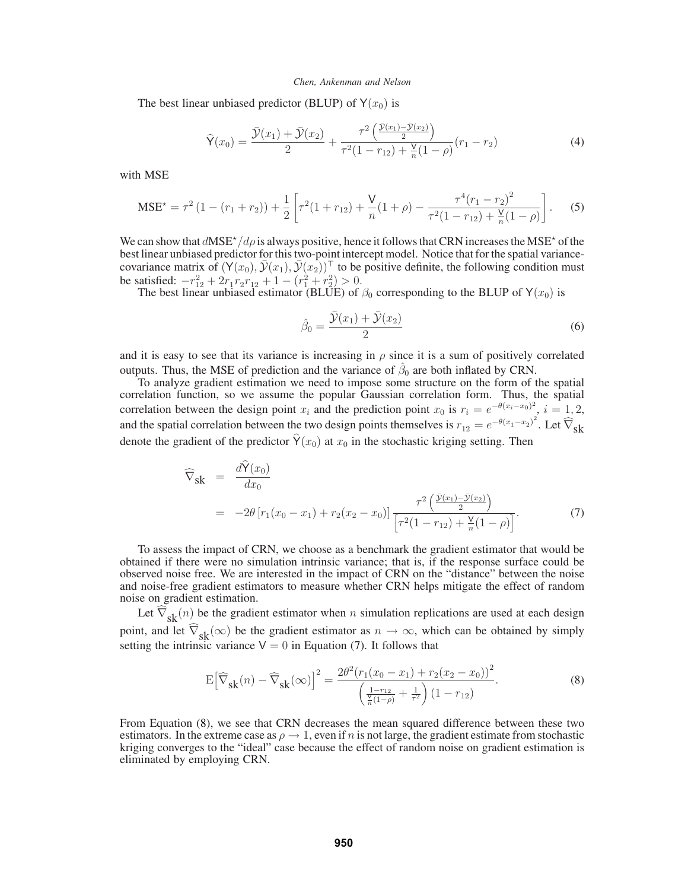The best linear unbiased predictor (BLUP) of  $Y(x_0)$  is

$$
\widehat{\mathsf{Y}}(x_0) = \frac{\overline{\mathcal{Y}}(x_1) + \overline{\mathcal{Y}}(x_2)}{2} + \frac{\tau^2 \left(\frac{\overline{\mathcal{Y}}(x_1) - \overline{\mathcal{Y}}(x_2)}{2}\right)}{\tau^2 (1 - r_{12}) + \frac{\mathsf{V}}{n} (1 - \rho)} (r_1 - r_2) \tag{4}
$$

with MSE

$$
\text{MSE}^* = \tau^2 \left( 1 - (r_1 + r_2) \right) + \frac{1}{2} \left[ \tau^2 (1 + r_{12}) + \frac{V}{n} (1 + \rho) - \frac{\tau^4 (r_1 - r_2)^2}{\tau^2 (1 - r_{12}) + \frac{V}{n} (1 - \rho)} \right]. \tag{5}
$$

We can show that  $dMSE^{\star}/d\rho$  is always positive, hence it follows that CRN increases the MSE<sup>\*</sup> of the best linear unbiased predictor for this two-point intercept model. Notice that for the spatial variancecovariance matrix of  $(Y(x_0), \overline{Y}(x_1), \overline{Y}(x_2))$ <sup>⊤</sup> to be positive definite, the following condition must be satisfied:  $-r_{12}^2 + 2r_1r_2r_{12} + 1 - (r_1^2 + r_2^2) > 0.$ 

The best linear unbiased estimator (BLUE) of  $\beta_0$  corresponding to the BLUP of Y( $x_0$ ) is

$$
\hat{\beta}_0 = \frac{\bar{\mathcal{Y}}(x_1) + \bar{\mathcal{Y}}(x_2)}{2} \tag{6}
$$

and it is easy to see that its variance is increasing in  $\rho$  since it is a sum of positively correlated outputs. Thus, the MSE of prediction and the variance of  $\hat{\beta}_0$  are both inflated by CRN.

To analyze gradient estimation we need to impose some structure on the form of the spatial correlation function, so we assume the popular Gaussian correlation form. Thus, the spatial correlation between the design point  $x_i$  and the prediction point  $x_0$  is  $r_i = e^{-\theta(x_i - x_0)^2}$ ,  $i = 1, 2,$ and the spatial correlation between the two design points themselves is  $r_{12} = e^{-\theta(x_1 - x_2)^2}$ . Let  $\widehat{\nabla}_{\mathbf{S}}$ denote the gradient of the predictor  $\hat{Y}(x_0)$  at  $x_0$  in the stochastic kriging setting. Then

$$
\widehat{\nabla}_{\mathbf{S}}\mathbf{k} = \frac{d\widehat{Y}(x_0)}{dx_0} \n= -2\theta \left[ r_1(x_0 - x_1) + r_2(x_2 - x_0) \right] \frac{\tau^2 \left( \frac{\widetilde{Y}(x_1) - \widetilde{Y}(x_2)}{2} \right)}{\left[ \tau^2 (1 - r_{12}) + \frac{\widetilde{Y}}{n} (1 - \rho) \right]}.
$$
\n(7)

To assess the impact of CRN, we choose as a benchmark the gradient estimator that would be obtained if there were no simulation intrinsic variance; that is, if the response surface could be observed noise free. We are interested in the impact of CRN on the "distance" between the noise and noise-free gradient estimators to measure whether CRN helps mitigate the effect of random noise on gradient estimation.

Let  $\nabla_{\mathbf{sk}}(n)$  be the gradient estimator when n simulation replications are used at each design point, and let  $\widehat{\nabla}_{sk}(\infty)$  be the gradient estimator as  $n \to \infty$ , which can be obtained by simply setting the intrinsic variance  $V = 0$  in Equation (7). It follows that

$$
E\left[\widehat{\nabla}_{s k}(n) - \widehat{\nabla}_{s k}(\infty)\right]^2 = \frac{2\theta^2 (r_1(x_0 - x_1) + r_2(x_2 - x_0))^2}{\left(\frac{1 - r_{12}}{\frac{V}{n}(1 - \rho)} + \frac{1}{\tau^2}\right)(1 - r_{12})}.
$$
\n(8)

From Equation (8), we see that CRN decreases the mean squared difference between these two estimators. In the extreme case as  $\rho \to 1$ , even if n is not large, the gradient estimate from stochastic kriging converges to the "ideal" case because the effect of random noise on gradient estimation is eliminated by employing CRN.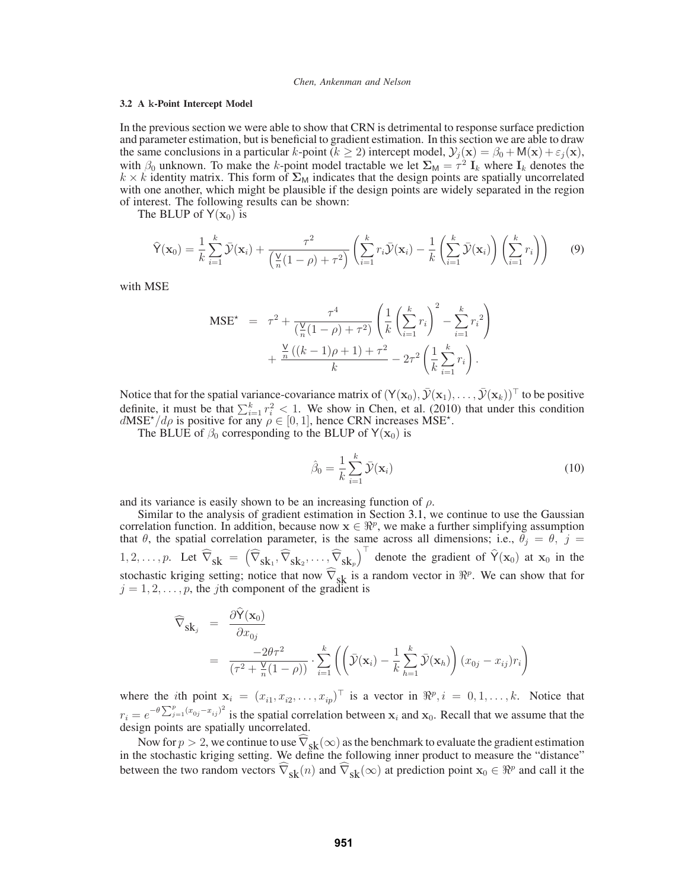## **3.2 A** k**-Point Intercept Model**

In the previous section we were able to show that CRN is detrimental to response surface prediction and parameter estimation, but is beneficial to gradient estimation. In this section we are able to draw the same conclusions in a particular k-point ( $k \ge 2$ ) intercept model,  $\mathcal{Y}_i(\mathbf{x}) = \beta_0 + \mathsf{M}(\mathbf{x}) + \varepsilon_i(\mathbf{x}),$ with  $\beta_0$  unknown. To make the k-point model tractable we let  $\Sigma_M = \tau^2 I_k$  where  $I_k$  denotes the  $k \times k$  identity matrix. This form of  $\Sigma_M$  indicates that the design points are spatially uncorrelated with one another, which might be plausible if the design points are widely separated in the region of interest. The following results can be shown:

The BLUP of  $Y(x_0)$  is

$$
\widehat{\mathsf{Y}}(\mathbf{x}_0) = \frac{1}{k} \sum_{i=1}^k \bar{\mathcal{Y}}(\mathbf{x}_i) + \frac{\tau^2}{\left(\frac{\mathsf{V}}{n}(1-\rho) + \tau^2\right)} \left(\sum_{i=1}^k r_i \bar{\mathcal{Y}}(\mathbf{x}_i) - \frac{1}{k} \left(\sum_{i=1}^k \bar{\mathcal{Y}}(\mathbf{x}_i)\right) \left(\sum_{i=1}^k r_i\right)\right) \tag{9}
$$

with MSE

$$
\text{MSE}^{\star} = \tau^{2} + \frac{\tau^{4}}{\left(\frac{\mathsf{V}}{n}(1-\rho) + \tau^{2}\right)} \left(\frac{1}{k}\left(\sum_{i=1}^{k} r_{i}\right)^{2} - \sum_{i=1}^{k} r_{i}^{2}\right) + \frac{\frac{\mathsf{V}}{n}\left((k-1)\rho + 1\right) + \tau^{2}}{k} - 2\tau^{2}\left(\frac{1}{k}\sum_{i=1}^{k} r_{i}\right).
$$

Notice that for the spatial variance-covariance matrix of  $(Y(\mathbf{x}_0), \bar{Y}(\mathbf{x}_1), \dots, \bar{Y}(\mathbf{x}_k))^T$  to be positive definite, it must be that  $\sum_{i=1}^{k} r_i^2 < 1$ . We show in Chen, et al. (2010) that under this condition  $dMSE^*/d\rho$  is positive for any  $\rho \in [0, 1]$ , hence CRN increases MSE<sup>\*</sup>.

The BLUE of  $\beta_0$  corresponding to the BLUP of Y(x<sub>0</sub>) is

$$
\hat{\beta}_0 = \frac{1}{k} \sum_{i=1}^k \bar{\mathcal{Y}}(\mathbf{x}_i)
$$
\n(10)

and its variance is easily shown to be an increasing function of  $\rho$ .

Similar to the analysis of gradient estimation in Section 3.1, we continue to use the Gaussian correlation function. In addition, because now  $x \in \mathbb{R}^p$ , we make a further simplifying assumption that  $\theta$ , the spatial correlation parameter, is the same across all dimensions; i.e.,  $\theta_j = \theta$ ,  $j =$ 1, 2, ..., p. Let  $\widehat{\nabla}_{sk} = \left( \widehat{\nabla}_{sk_1}, \widehat{\nabla}_{sk_2}, \dots, \widehat{\nabla}_{sk_p} \right)^{\top}$  denote the gradient of  $\widehat{Y}(x_0)$  at  $x_0$  in the stochastic kriging setting; notice that now  $\widehat{\nabla}_{sk}$  is a random vector in  $\Re^p$ . We can show that for  $j = 1, 2, \ldots, p$ , the *j*th component of the gradient is

$$
\widehat{\nabla}_{\mathbf{s}\mathbf{k}_{j}} = \frac{\partial \widehat{\mathsf{Y}}(\mathbf{x}_{0})}{\partial x_{0j}} \n= \frac{-2\theta\tau^{2}}{(\tau^{2} + \frac{\mathsf{V}}{n}(1-\rho))} \cdot \sum_{i=1}^{k} \left( \left( \bar{\mathcal{Y}}(\mathbf{x}_{i}) - \frac{1}{k} \sum_{h=1}^{k} \bar{\mathcal{Y}}(\mathbf{x}_{h}) \right) (x_{0j} - x_{ij}) r_{i} \right)
$$

where the *i*th point  $\mathbf{x}_i = (x_{i1}, x_{i2}, \dots, x_{ip})^\top$  is a vector in  $\Re^p, i = 0, 1, \dots, k$ . Notice that  $r_i = e^{-\theta \sum_{j=1}^{p} (x_{0j}-x_{ij})^2}$  is the spatial correlation between  $x_i$  and  $x_0$ . Recall that we assume that the design points are spatially uncorrelated.

Now for  $p > 2$ , we continue to use  $\nabla_{\mathbf{sk}}(\infty)$  as the benchmark to evaluate the gradient estimation in the stochastic kriging setting. We define the following inner product to measure the "distance" between the two random vectors  $\widehat{\nabla}_{\mathbf{s}\mathbf{k}}(n)$  and  $\widehat{\nabla}_{\mathbf{s}\mathbf{k}}(\infty)$  at prediction point  $\mathbf{x}_0 \in \mathbb{R}^p$  and call it the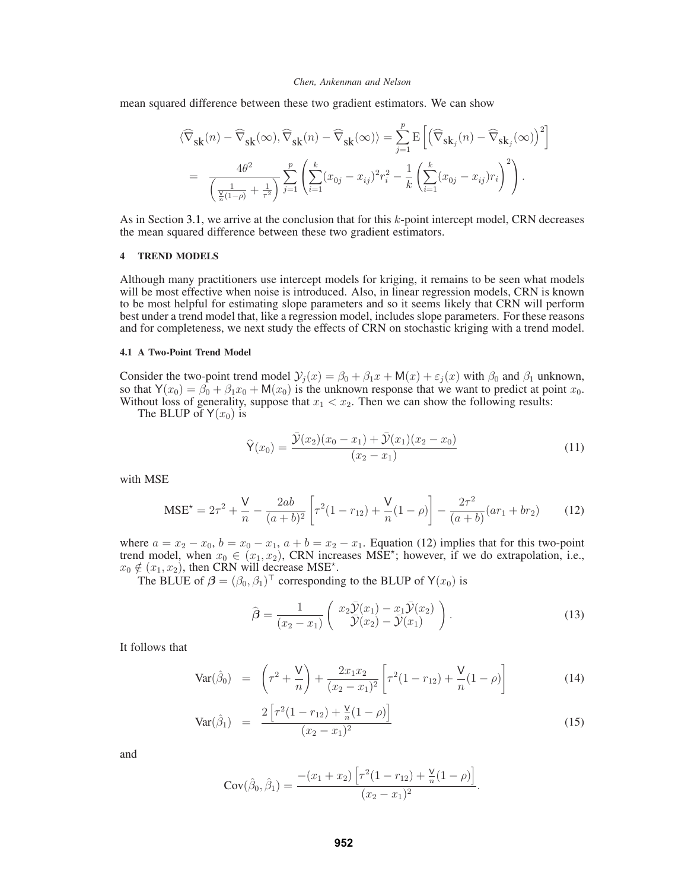mean squared difference between these two gradient estimators. We can show

$$
\begin{split} &\langle \widehat{\nabla}_{\mathbf{S}\mathbf{k}}(n)-\widehat{\nabla}_{\mathbf{S}\mathbf{k}}(\infty), \widehat{\nabla}_{\mathbf{S}\mathbf{k}}(n)-\widehat{\nabla}_{\mathbf{S}\mathbf{k}}(\infty)\rangle = \sum_{j=1}^{p} \mathrm{E}\left[\left(\widehat{\nabla}_{\mathbf{S}\mathbf{k}_{j}}(n)-\widehat{\nabla}_{\mathbf{S}\mathbf{k}_{j}}(\infty)\right)^{2}\right] \\ &=\;\; \frac{4\theta^{2}}{\left(\frac{1}{\frac{\mathsf{V}}{n}\left(1-\rho\right)}+\frac{1}{\tau^{2}}\right)}\sum_{j=1}^{p}\left(\sum_{i=1}^{k}(x_{0j}-x_{ij})^{2}r_{i}^{2}-\frac{1}{k}\left(\sum_{i=1}^{k}(x_{0j}-x_{ij})r_{i}\right)^{2}\right). \end{split}
$$

As in Section 3.1, we arrive at the conclusion that for this k-point intercept model, CRN decreases the mean squared difference between these two gradient estimators.

### **4 TREND MODELS**

Although many practitioners use intercept models for kriging, it remains to be seen what models will be most effective when noise is introduced. Also, in linear regression models, CRN is known to be most helpful for estimating slope parameters and so it seems likely that CRN will perform best under a trend model that, like a regression model, includes slope parameters. For these reasons and for completeness, we next study the effects of CRN on stochastic kriging with a trend model.

## **4.1 A Two-Point Trend Model**

Consider the two-point trend model  $\mathcal{Y}_i(x) = \beta_0 + \beta_1 x + \mathsf{M}(x) + \varepsilon_i(x)$  with  $\beta_0$  and  $\beta_1$  unknown, so that  $Y(x_0) = \beta_0 + \beta_1 x_0 + M(x_0)$  is the unknown response that we want to predict at point  $x_0$ . Without loss of generality, suppose that  $x_1 < x_2$ . Then we can show the following results:

The BLUP of  $Y(x_0)$  is

$$
\widehat{\mathsf{Y}}(x_0) = \frac{\bar{\mathcal{Y}}(x_2)(x_0 - x_1) + \bar{\mathcal{Y}}(x_1)(x_2 - x_0)}{(x_2 - x_1)}\tag{11}
$$

with MSE

$$
\text{MSE}^{\star} = 2\tau^2 + \frac{\mathsf{V}}{n} - \frac{2ab}{(a+b)^2} \left[ \tau^2 (1 - r_{12}) + \frac{\mathsf{V}}{n} (1 - \rho) \right] - \frac{2\tau^2}{(a+b)} (ar_1 + br_2)
$$
(12)

where  $a = x_2 - x_0$ ,  $b = x_0 - x_1$ ,  $a + b = x_2 - x_1$ . Equation (12) implies that for this two-point trend model, when  $x_0 \in (x_1, x_2)$ , CRN increases MSE<sup>\*</sup>; however, if we do extrapolation, i.e.,  $x_0 \notin (x_1, x_2)$ , then CRN will decrease MSE<sup>\*</sup>.

The BLUE of  $\beta = (\beta_0, \beta_1)^\top$  corresponding to the BLUP of Y( $x_0$ ) is

$$
\widehat{\boldsymbol{\beta}} = \frac{1}{(x_2 - x_1)} \begin{pmatrix} x_2 \overline{\mathcal{Y}}(x_1) - x_1 \overline{\mathcal{Y}}(x_2) \\ \overline{\mathcal{Y}}(x_2) - \overline{\mathcal{Y}}(x_1) \end{pmatrix} . \tag{13}
$$

It follows that

$$
\text{Var}(\hat{\beta}_0) = \left(\tau^2 + \frac{\mathsf{V}}{n}\right) + \frac{2x_1x_2}{(x_2 - x_1)^2} \left[\tau^2(1 - r_{12}) + \frac{\mathsf{V}}{n}(1 - \rho)\right] \tag{14}
$$

$$
Var(\hat{\beta}_1) = \frac{2\left[\tau^2(1-r_{12}) + \frac{V}{n}(1-\rho)\right]}{(x_2 - x_1)^2}
$$
(15)

and

$$
Cov(\hat{\beta}_0, \hat{\beta}_1) = \frac{-(x_1 + x_2) \left[ \tau^2 (1 - r_{12}) + \frac{V}{n} (1 - \rho) \right]}{(x_2 - x_1)^2}.
$$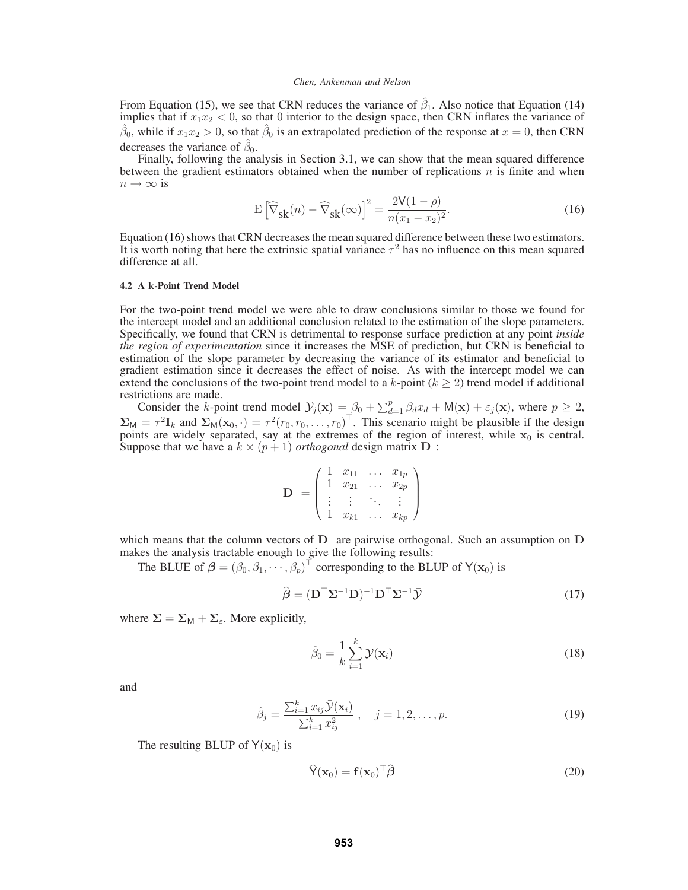From Equation (15), we see that CRN reduces the variance of  $\hat{\beta}_1$ . Also notice that Equation (14) implies that if  $x_1x_2 < 0$ , so that 0 interior to the design space, then CRN inflates the variance of  $\hat{\beta}_0$ , while if  $x_1x_2 > 0$ , so that  $\hat{\beta}_0$  is an extrapolated prediction of the response at  $x = 0$ , then CRN decreases the variance of  $\hat{\beta}_0$ .

Finally, following the analysis in Section 3.1, we can show that the mean squared difference between the gradient estimators obtained when the number of replications  $n$  is finite and when  $n \to \infty$  is

$$
E\left[\widehat{\nabla}_{\mathbf{S}}(n) - \widehat{\nabla}_{\mathbf{S}}(n)\right]^2 = \frac{2V(1-\rho)}{n(x_1 - x_2)^2}.
$$
 (16)

Equation (16) shows that CRN decreases the mean squared difference between these two estimators. It is worth noting that here the extrinsic spatial variance  $\tau^2$  has no influence on this mean squared difference at all.

## **4.2 A** k**-Point Trend Model**

For the two-point trend model we were able to draw conclusions similar to those we found for the intercept model and an additional conclusion related to the estimation of the slope parameters. Specifically, we found that CRN is detrimental to response surface prediction at any point *inside the region of experimentation* since it increases the MSE of prediction, but CRN is beneficial to estimation of the slope parameter by decreasing the variance of its estimator and beneficial to gradient estimation since it decreases the effect of noise. As with the intercept model we can extend the conclusions of the two-point trend model to a  $k$ -point ( $k \geq 2$ ) trend model if additional restrictions are made.

Consider the k-point trend model  $\mathcal{Y}_j(\mathbf{x}) = \beta_0 + \sum_{d=1}^p \beta_d x_d + M(\mathbf{x}) + \varepsilon_j(\mathbf{x})$ , where  $p \ge 2$ ,  $\Sigma_M = \tau^2 I_k$  and  $\Sigma_M(\mathbf{x}_0, \cdot) = \tau^2 (r_0, r_0, \dots, r_0)^\top$ . This scenario might be plausible if the design points are widely separated, say at the extremes of the region of interest, while  $x_0$  is central. Suppose that we have a  $k \times (p+1)$  *orthogonal* design matrix D :

$$
\mathbf{D} = \left( \begin{array}{cccc} 1 & x_{11} & \dots & x_{1p} \\ 1 & x_{21} & \dots & x_{2p} \\ \vdots & \vdots & \ddots & \vdots \\ 1 & x_{k1} & \dots & x_{kp} \end{array} \right)
$$

which means that the column vectors of D are pairwise orthogonal. Such an assumption on D makes the analysis tractable enough to give the following results:

The BLUE of  $\beta = (\beta_0, \beta_1, \cdots, \beta_p)^{\top}$  corresponding to the BLUP of Y( $\mathbf{x}_0$ ) is

$$
\hat{\boldsymbol{\beta}} = (\mathbf{D}^{\top} \Sigma^{-1} \mathbf{D})^{-1} \mathbf{D}^{\top} \Sigma^{-1} \bar{\mathbf{Y}} \tag{17}
$$

where  $\Sigma = \Sigma_M + \Sigma_{\epsilon}$ . More explicitly,

$$
\hat{\beta}_0 = \frac{1}{k} \sum_{i=1}^k \bar{\mathcal{Y}}(\mathbf{x}_i)
$$
\n(18)

and

$$
\hat{\beta}_j = \frac{\sum_{i=1}^k x_{ij} \bar{\mathcal{Y}}(\mathbf{x}_i)}{\sum_{i=1}^k x_{ij}^2}, \quad j = 1, 2, \dots, p. \tag{19}
$$

The resulting BLUP of  $Y(x_0)$  is

$$
\widehat{\mathsf{Y}}(\mathbf{x}_0) = \mathbf{f}(\mathbf{x}_0)^\top \widehat{\boldsymbol{\beta}} \tag{20}
$$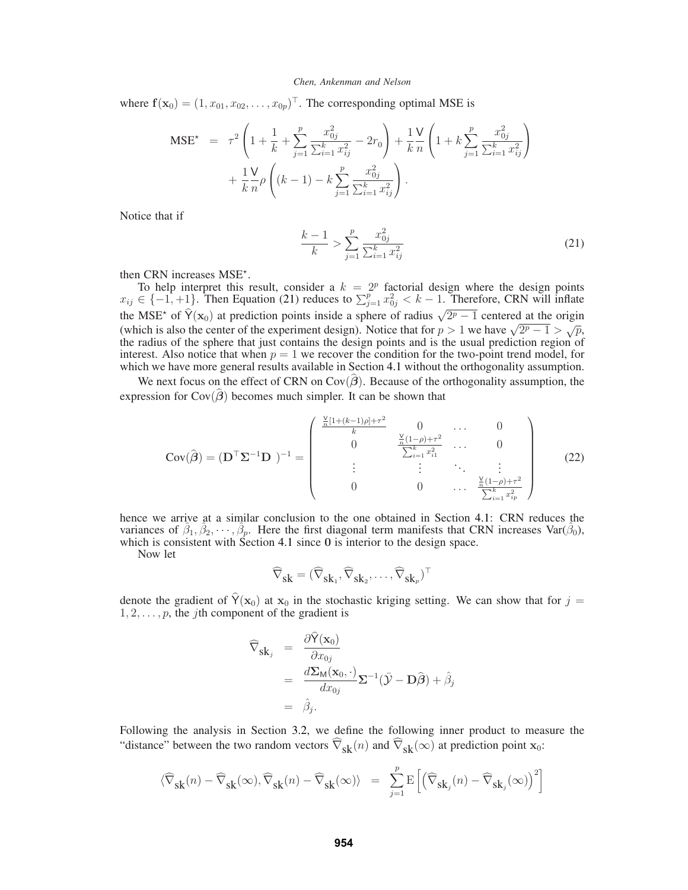where  $f(\mathbf{x}_0) = (1, x_{01}, x_{02}, \dots, x_{0p})^\top$ . The corresponding optimal MSE is

$$
\begin{split} \text{MSE}^{\star} &= \tau^{2} \left( 1 + \frac{1}{k} + \sum_{j=1}^{p} \frac{x_{0j}^{2}}{\sum_{i=1}^{k} x_{ij}^{2}} - 2r_{0} \right) + \frac{1}{k} \frac{\mathsf{V}}{n} \left( 1 + k \sum_{j=1}^{p} \frac{x_{0j}^{2}}{\sum_{i=1}^{k} x_{ij}^{2}} \right) \\ &+ \frac{1}{k} \frac{\mathsf{V}}{n} \rho \left( (k-1) - k \sum_{j=1}^{p} \frac{x_{0j}^{2}}{\sum_{i=1}^{k} x_{ij}^{2}} \right). \end{split}
$$

Notice that if

$$
\frac{k-1}{k} > \sum_{j=1}^{p} \frac{x_{0j}^2}{\sum_{i=1}^{k} x_{ij}^2} \tag{21}
$$

then CRN increases MSE<sup>\*</sup>.

To help interpret this result, consider a  $k = 2<sup>p</sup>$  factorial design where the design points  $x_{ij} \in \{-1, +1\}$ . Then Equation (21) reduces to  $\sum_{j=1}^{p} x_{0j}^2 < k - 1$ . Therefore, CRN will inflate the MSE<sup>★</sup> of  $\hat{Y}(x_0)$  at prediction points inside a sphere of radius  $\sqrt{2p-1}$  centered at the origin (which is also the center of the experiment design). Notice that for  $p > 1$  we have  $\sqrt{2^p - 1} > \sqrt{p}$ , the radius of the sphere that just contains the design points and is the usual prediction region of interest. Also notice that when  $p = 1$  we recover the condition for the two-point trend model, for which we have more general results available in Section 4.1 without the orthogonality assumption.

We next focus on the effect of CRN on  $Cov(\beta)$ . Because of the orthogonality assumption, the expression for  $\text{Cov}(\hat{\boldsymbol{\beta}})$  becomes much simpler. It can be shown that

$$
Cov(\hat{\boldsymbol{\beta}}) = (\mathbf{D}^{\top} \Sigma^{-1} \mathbf{D})^{-1} = \begin{pmatrix} \frac{\frac{V}{n}[1+(k-1)\rho]+\tau^2}{k} & 0 & \dots & 0\\ 0 & \frac{\frac{V}{n}(1-\rho)+\tau^2}{\sum_{i=1}^k x_{i1}^2} & \dots & 0\\ \vdots & \vdots & \ddots & \vdots\\ 0 & 0 & \dots & \frac{\frac{V}{n}(1-\rho)+\tau^2}{\sum_{i=1}^k x_{i\rho}^2} \end{pmatrix}
$$
(22)

hence we arrive at a similar conclusion to the one obtained in Section 4.1: CRN reduces the variances of  $\hat{\beta}_1, \hat{\beta}_2, \dots, \hat{\beta}_p$ . Here the first diagonal term manifests that CRN increases Var( $\hat{\beta}_0$ ), which is consistent with Section 4.1 since 0 is interior to the design space.

Now let

$$
\widehat{\nabla}_{sk}=(\widehat{\nabla}_{sk_1},\widehat{\nabla}_{sk_2},\ldots,\widehat{\nabla}_{sk_p})^{\top}
$$

denote the gradient of  $\hat{Y}(x_0)$  at  $x_0$  in the stochastic kriging setting. We can show that for  $j =$  $1, 2, \ldots, p$ , the *j*th component of the gradient is

$$
\widehat{\nabla}_{\mathbf{s}\mathbf{k}_{j}} = \frac{\partial \widehat{\mathbf{Y}}(\mathbf{x}_{0})}{\partial x_{0j}} \n= \frac{d \Sigma_{\mathbf{M}}(\mathbf{x}_{0}, \cdot)}{dx_{0j}} \Sigma^{-1} (\bar{\mathbf{Y}} - \mathbf{D}\widehat{\boldsymbol{\beta}}) + \widehat{\beta}_{j} \n= \widehat{\beta}_{j}.
$$

Following the analysis in Section 3.2, we define the following inner product to measure the "distance" between the two random vectors  $\widehat{\nabla}_{sk}(n)$  and  $\widehat{\nabla}_{sk}(\infty)$  at prediction point  $x_0$ :

$$
\langle \widehat{\nabla}_{\mathbf{s}\mathbf{k}}(n) - \widehat{\nabla}_{\mathbf{s}\mathbf{k}}(\infty), \widehat{\nabla}_{\mathbf{s}\mathbf{k}}(n) - \widehat{\nabla}_{\mathbf{s}\mathbf{k}}(\infty) \rangle = \sum_{j=1}^{p} \mathbf{E} \left[ \left( \widehat{\nabla}_{\mathbf{s}\mathbf{k}_{j}}(n) - \widehat{\nabla}_{\mathbf{s}\mathbf{k}_{j}}(\infty) \right)^{2} \right]
$$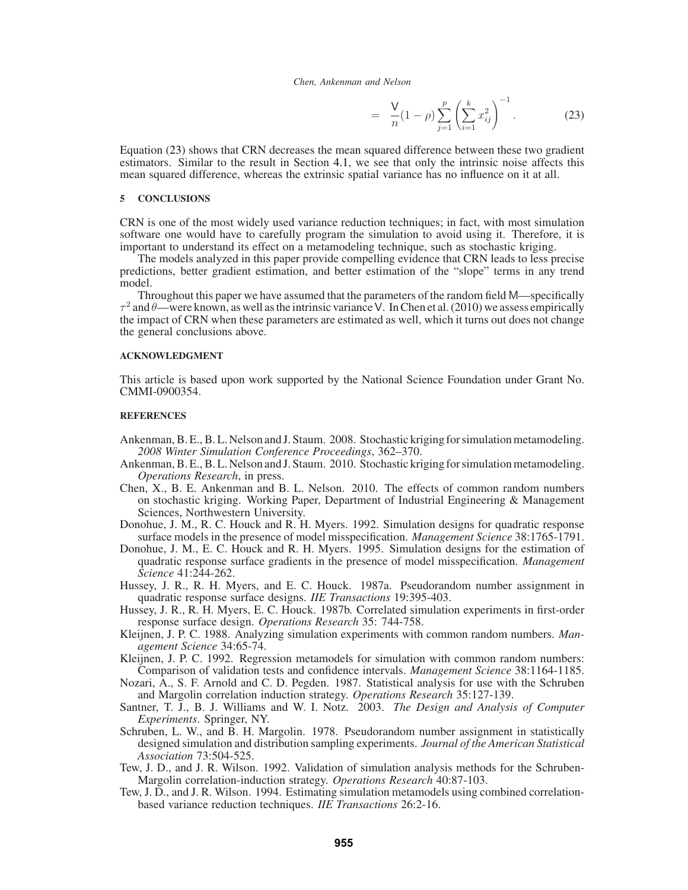$$
= \frac{V}{n}(1-\rho)\sum_{j=1}^{p}\left(\sum_{i=1}^{k}x_{ij}^{2}\right)^{-1}.
$$
 (23)

Equation (23) shows that CRN decreases the mean squared difference between these two gradient estimators. Similar to the result in Section 4.1, we see that only the intrinsic noise affects this mean squared difference, whereas the extrinsic spatial variance has no influence on it at all.

## **5 CONCLUSIONS**

CRN is one of the most widely used variance reduction techniques; in fact, with most simulation software one would have to carefully program the simulation to avoid using it. Therefore, it is important to understand its effect on a metamodeling technique, such as stochastic kriging.

The models analyzed in this paper provide compelling evidence that CRN leads to less precise predictions, better gradient estimation, and better estimation of the "slope" terms in any trend model.

Throughout this paper we have assumed that the parameters of the random field M—specifically  $\tau^2$  and  $\theta$ —were known, as well as the intrinsic variance V. In Chen et al. (2010) we assess empirically the impact of CRN when these parameters are estimated as well, which it turns out does not change the general conclusions above.

### **ACKNOWLEDGMENT**

This article is based upon work supported by the National Science Foundation under Grant No. CMMI-0900354.

## **REFERENCES**

- Ankenman, B. E., B. L. Nelson and J. Staum. 2008. Stochastic kriging for simulation metamodeling. *2008 Winter Simulation Conference Proceedings*, 362–370.
- Ankenman, B. E., B. L. Nelson and J. Staum. 2010. Stochastic kriging for simulation metamodeling. *Operations Research*, in press.
- Chen, X., B. E. Ankenman and B. L. Nelson. 2010. The effects of common random numbers on stochastic kriging. Working Paper, Department of Industrial Engineering & Management Sciences, Northwestern University.
- Donohue, J. M., R. C. Houck and R. H. Myers. 1992. Simulation designs for quadratic response surface models in the presence of model misspecification. *Management Science* 38:1765-1791.
- Donohue, J. M., E. C. Houck and R. H. Myers. 1995. Simulation designs for the estimation of quadratic response surface gradients in the presence of model misspecification. *Management Science* 41:244-262.
- Hussey, J. R., R. H. Myers, and E. C. Houck. 1987a. Pseudorandom number assignment in quadratic response surface designs. *IIE Transactions* 19:395-403.
- Hussey, J. R., R. H. Myers, E. C. Houck. 1987b. Correlated simulation experiments in first-order response surface design. *Operations Research* 35: 744-758.
- Kleijnen, J. P. C. 1988. Analyzing simulation experiments with common random numbers. *Management Science* 34:65-74.
- Kleijnen, J. P. C. 1992. Regression metamodels for simulation with common random numbers: Comparison of validation tests and confidence intervals. *Management Science* 38:1164-1185.
- Nozari, A., S. F. Arnold and C. D. Pegden. 1987. Statistical analysis for use with the Schruben and Margolin correlation induction strategy. *Operations Research* 35:127-139.
- Santner, T. J., B. J. Williams and W. I. Notz. 2003. *The Design and Analysis of Computer Experiments*. Springer, NY.
- Schruben, L. W., and B. H. Margolin. 1978. Pseudorandom number assignment in statistically designed simulation and distribution sampling experiments. *Journal of the American Statistical Association* 73:504-525.
- Tew, J. D., and J. R. Wilson. 1992. Validation of simulation analysis methods for the Schruben-Margolin correlation-induction strategy. *Operations Research* 40:87-103.
- Tew, J. D., and J. R. Wilson. 1994. Estimating simulation metamodels using combined correlationbased variance reduction techniques. *IIE Transactions* 26:2-16.